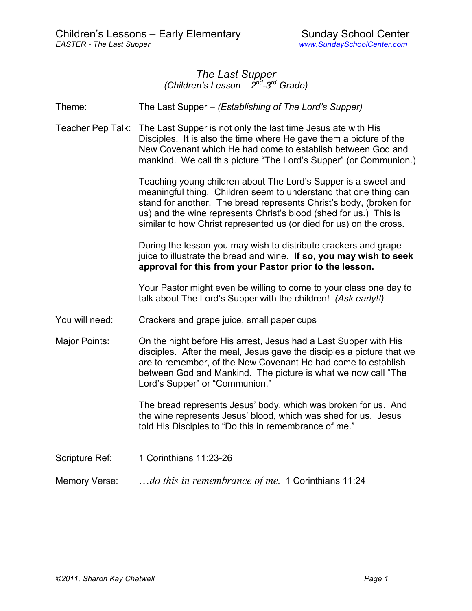#### *The Last Supper (Children's Lesson – 2nd-3rd Grade)*

Theme: The Last Supper – *(Establishing of The Lord's Supper)* 

Teacher Pep Talk: The Last Supper is not only the last time Jesus ate with His Disciples. It is also the time where He gave them a picture of the New Covenant which He had come to establish between God and mankind. We call this picture "The Lord's Supper" (or Communion.)

> Teaching young children about The Lord's Supper is a sweet and meaningful thing. Children seem to understand that one thing can stand for another. The bread represents Christ's body, (broken for us) and the wine represents Christ's blood (shed for us.) This is similar to how Christ represented us (or died for us) on the cross.

> During the lesson you may wish to distribute crackers and grape juice to illustrate the bread and wine. **If so, you may wish to seek approval for this from your Pastor prior to the lesson.**

> Your Pastor might even be willing to come to your class one day to talk about The Lord's Supper with the children! *(Ask early!!)*

- You will need: Crackers and grape juice, small paper cups
- Major Points: On the night before His arrest, Jesus had a Last Supper with His disciples. After the meal, Jesus gave the disciples a picture that we are to remember, of the New Covenant He had come to establish between God and Mankind. The picture is what we now call "The Lord's Supper" or "Communion."

 The bread represents Jesus' body, which was broken for us. And the wine represents Jesus' blood, which was shed for us. Jesus told His Disciples to "Do this in remembrance of me."

Scripture Ref: 1 Corinthians 11:23-26

Memory Verse: …*do this in remembrance of me.* 1 Corinthians 11:24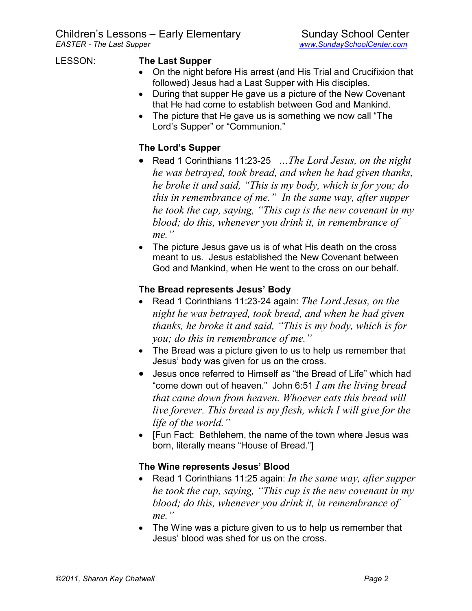#### LESSON: **The Last Supper**

- On the night before His arrest (and His Trial and Crucifixion that followed) Jesus had a Last Supper with His disciples.
- During that supper He gave us a picture of the New Covenant that He had come to establish between God and Mankind.
- The picture that He gave us is something we now call "The Lord's Supper" or "Communion."

# **The Lord's Supper**

- Read 1 Corinthians 11:23-25 *…The Lord Jesus, on the night he was betrayed, took bread, and when he had given thanks, he broke it and said, "This is my body, which is for you; do this in remembrance of me." In the same way, after supper he took the cup, saying, "This cup is the new covenant in my blood; do this, whenever you drink it, in remembrance of me."*
- The picture Jesus gave us is of what His death on the cross meant to us. Jesus established the New Covenant between God and Mankind, when He went to the cross on our behalf.

## **The Bread represents Jesus' Body**

- Read 1 Corinthians 11:23-24 again: *The Lord Jesus, on the night he was betrayed, took bread, and when he had given thanks, he broke it and said, "This is my body, which is for you; do this in remembrance of me."*
- The Bread was a picture given to us to help us remember that Jesus' body was given for us on the cross.
- Jesus once referred to Himself as "the Bread of Life" which had "come down out of heaven." John 6:51 *I am the living bread that came down from heaven. Whoever eats this bread will live forever. This bread is my flesh, which I will give for the life of the world."*
- [Fun Fact: Bethlehem, the name of the town where Jesus was born, literally means "House of Bread."]

### **The Wine represents Jesus' Blood**

- Read 1 Corinthians 11:25 again: *In the same way, after supper he took the cup, saying, "This cup is the new covenant in my blood; do this, whenever you drink it, in remembrance of me."*
- The Wine was a picture given to us to help us remember that Jesus' blood was shed for us on the cross.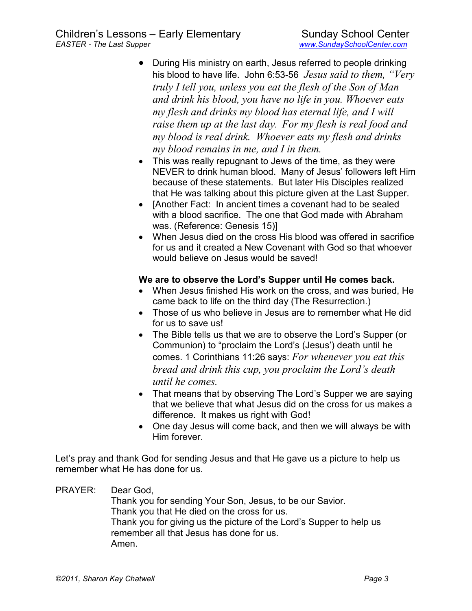- During His ministry on earth, Jesus referred to people drinking his blood to have life. John 6:53-56 *Jesus said to them, "Very truly I tell you, unless you eat the flesh of the Son of Man and drink his blood, you have no life in you. Whoever eats my flesh and drinks my blood has eternal life, and I will raise them up at the last day. For my flesh is real food and my blood is real drink. Whoever eats my flesh and drinks my blood remains in me, and I in them.*
- This was really repugnant to Jews of the time, as they were NEVER to drink human blood. Many of Jesus' followers left Him because of these statements. But later His Disciples realized that He was talking about this picture given at the Last Supper.
- [Another Fact: In ancient times a covenant had to be sealed with a blood sacrifice. The one that God made with Abraham was. (Reference: Genesis 15)]
- When Jesus died on the cross His blood was offered in sacrifice for us and it created a New Covenant with God so that whoever would believe on Jesus would be saved!

### **We are to observe the Lord's Supper until He comes back.**

- When Jesus finished His work on the cross, and was buried, He came back to life on the third day (The Resurrection.)
- Those of us who believe in Jesus are to remember what He did for us to save us!
- The Bible tells us that we are to observe the Lord's Supper (or Communion) to "proclaim the Lord's (Jesus') death until he comes. 1 Corinthians 11:26 says: *For whenever you eat this bread and drink this cup, you proclaim the Lord's death until he comes.*
- That means that by observing The Lord's Supper we are saying that we believe that what Jesus did on the cross for us makes a difference. It makes us right with God!
- One day Jesus will come back, and then we will always be with Him forever.

Let's pray and thank God for sending Jesus and that He gave us a picture to help us remember what He has done for us.

PRAYER: Dear God, Thank you for sending Your Son, Jesus, to be our Savior. Thank you that He died on the cross for us. Thank you for giving us the picture of the Lord's Supper to help us remember all that Jesus has done for us. Amen.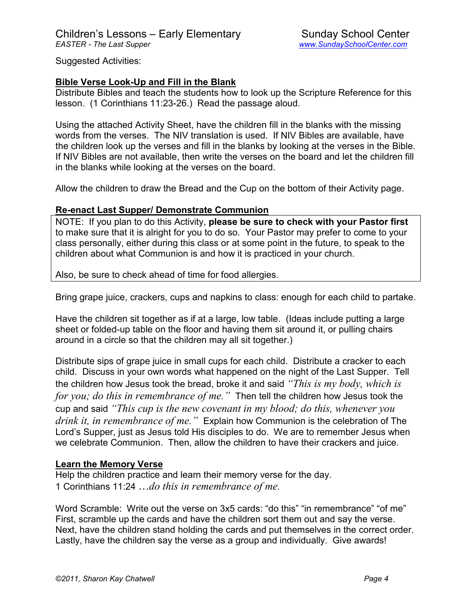Suggested Activities:

#### **Bible Verse Look-Up and Fill in the Blank**

Distribute Bibles and teach the students how to look up the Scripture Reference for this lesson. (1 Corinthians 11:23-26.) Read the passage aloud.

Using the attached Activity Sheet, have the children fill in the blanks with the missing words from the verses. The NIV translation is used. If NIV Bibles are available, have the children look up the verses and fill in the blanks by looking at the verses in the Bible. If NIV Bibles are not available, then write the verses on the board and let the children fill in the blanks while looking at the verses on the board.

Allow the children to draw the Bread and the Cup on the bottom of their Activity page.

#### **Re-enact Last Supper/ Demonstrate Communion**

NOTE: If you plan to do this Activity, **please be sure to check with your Pastor first** to make sure that it is alright for you to do so. Your Pastor may prefer to come to your class personally, either during this class or at some point in the future, to speak to the children about what Communion is and how it is practiced in your church.

Also, be sure to check ahead of time for food allergies.

Bring grape juice, crackers, cups and napkins to class: enough for each child to partake.

Have the children sit together as if at a large, low table. (Ideas include putting a large sheet or folded-up table on the floor and having them sit around it, or pulling chairs around in a circle so that the children may all sit together.)

Distribute sips of grape juice in small cups for each child. Distribute a cracker to each child. Discuss in your own words what happened on the night of the Last Supper. Tell the children how Jesus took the bread, broke it and said *"This is my body, which is for you; do this in remembrance of me."* Then tell the children how Jesus took the cup and said *"This cup is the new covenant in my blood; do this, whenever you drink it, in remembrance of me."* Explain how Communion is the celebration of The Lord's Supper, just as Jesus told His disciples to do. We are to remember Jesus when we celebrate Communion. Then, allow the children to have their crackers and juice.

### **Learn the Memory Verse**

Help the children practice and learn their memory verse for the day. 1 Corinthians 11:24 …*do this in remembrance of me.*

Word Scramble: Write out the verse on 3x5 cards: "do this" "in remembrance" "of me" First, scramble up the cards and have the children sort them out and say the verse. Next, have the children stand holding the cards and put themselves in the correct order. Lastly, have the children say the verse as a group and individually. Give awards!